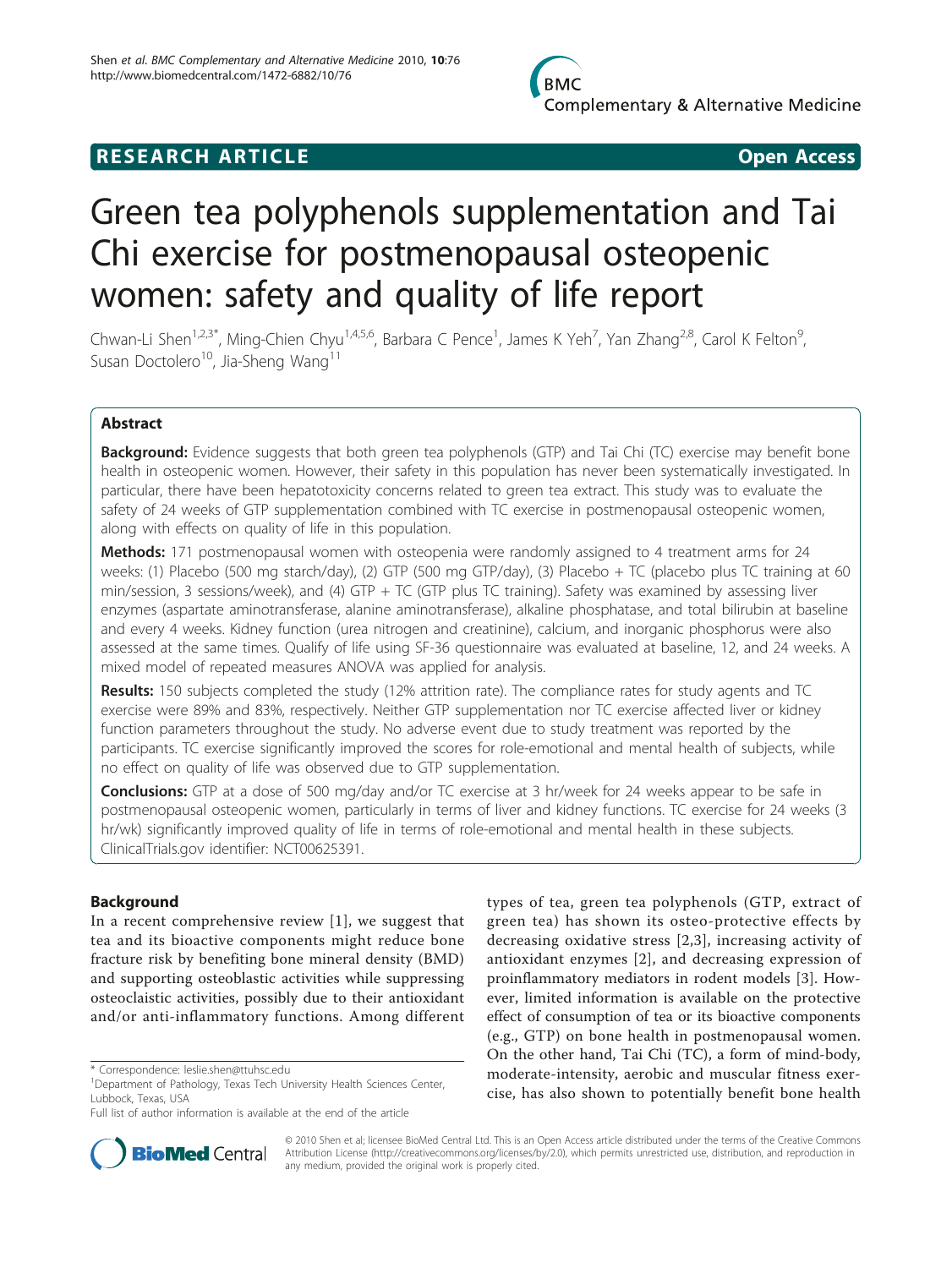

## **RESEARCH ARTICLE Example 2018 CONSIDERING ACCESS**

# Green tea polyphenols supplementation and Tai Chi exercise for postmenopausal osteopenic women: safety and quality of life report

Chwan-Li Shen<sup>1,2,3\*</sup>, Ming-Chien Chyu<sup>1,4,5,6</sup>, Barbara C Pence<sup>1</sup>, James K Yeh<sup>7</sup>, Yan Zhang<sup>2,8</sup>, Carol K Felton<sup>9</sup> , Susan Doctolero<sup>10</sup>, Jia-Sheng Wang<sup>11</sup>

## Abstract

**Background:** Evidence suggests that both green tea polyphenols (GTP) and Tai Chi (TC) exercise may benefit bone health in osteopenic women. However, their safety in this population has never been systematically investigated. In particular, there have been hepatotoxicity concerns related to green tea extract. This study was to evaluate the safety of 24 weeks of GTP supplementation combined with TC exercise in postmenopausal osteopenic women, along with effects on quality of life in this population.

**Methods:** 171 postmenopausal women with osteopenia were randomly assigned to 4 treatment arms for 24 weeks: (1) Placebo (500 mg starch/day), (2) GTP (500 mg GTP/day), (3) Placebo + TC (placebo plus TC training at 60 min/session, 3 sessions/week), and (4) GTP + TC (GTP plus TC training). Safety was examined by assessing liver enzymes (aspartate aminotransferase, alanine aminotransferase), alkaline phosphatase, and total bilirubin at baseline and every 4 weeks. Kidney function (urea nitrogen and creatinine), calcium, and inorganic phosphorus were also assessed at the same times. Qualify of life using SF-36 questionnaire was evaluated at baseline, 12, and 24 weeks. A mixed model of repeated measures ANOVA was applied for analysis.

Results: 150 subjects completed the study (12% attrition rate). The compliance rates for study agents and TC exercise were 89% and 83%, respectively. Neither GTP supplementation nor TC exercise affected liver or kidney function parameters throughout the study. No adverse event due to study treatment was reported by the participants. TC exercise significantly improved the scores for role-emotional and mental health of subjects, while no effect on quality of life was observed due to GTP supplementation.

**Conclusions:** GTP at a dose of 500 mg/day and/or TC exercise at 3 hr/week for 24 weeks appear to be safe in postmenopausal osteopenic women, particularly in terms of liver and kidney functions. TC exercise for 24 weeks (3 hr/wk) significantly improved quality of life in terms of role-emotional and mental health in these subjects. ClinicalTrials.gov identifier: NCT00625391.

## Background

In a recent comprehensive review [[1\]](#page-9-0), we suggest that tea and its bioactive components might reduce bone fracture risk by benefiting bone mineral density (BMD) and supporting osteoblastic activities while suppressing osteoclaistic activities, possibly due to their antioxidant and/or anti-inflammatory functions. Among different

types of tea, green tea polyphenols (GTP, extract of green tea) has shown its osteo-protective effects by decreasing oxidative stress [[2,3](#page-9-0)], increasing activity of antioxidant enzymes [[2\]](#page-9-0), and decreasing expression of proinflammatory mediators in rodent models [\[3](#page-9-0)]. However, limited information is available on the protective effect of consumption of tea or its bioactive components (e.g., GTP) on bone health in postmenopausal women. On the other hand, Tai Chi (TC), a form of mind-body, moderate-intensity, aerobic and muscular fitness exercise, has also shown to potentially benefit bone health



© 2010 Shen et al; licensee BioMed Central Ltd. This is an Open Access article distributed under the terms of the Creative Commons Attribution License [\(http://creativecommons.org/licenses/by/2.0](http://creativecommons.org/licenses/by/2.0)), which permits unrestricted use, distribution, and reproduction in any medium, provided the original work is properly cited.

<sup>\*</sup> Correspondence: [leslie.shen@ttuhsc.edu](mailto:leslie.shen@ttuhsc.edu)

<sup>&</sup>lt;sup>1</sup>Department of Pathology, Texas Tech University Health Sciences Center, Lubbock, Texas, USA

Full list of author information is available at the end of the article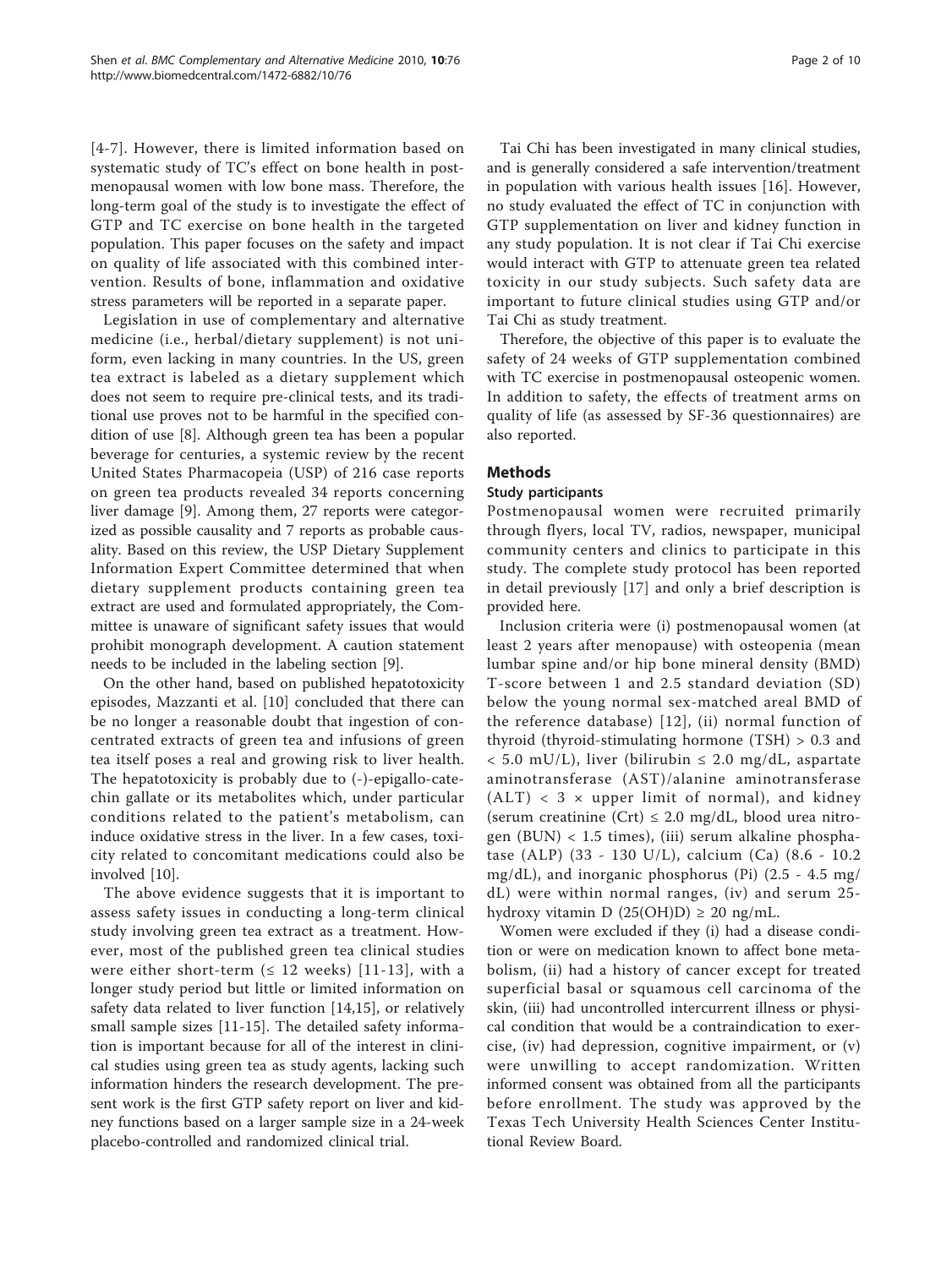[[4](#page-9-0)-[7](#page-9-0)]. However, there is limited information based on systematic study of TC's effect on bone health in postmenopausal women with low bone mass. Therefore, the long-term goal of the study is to investigate the effect of GTP and TC exercise on bone health in the targeted population. This paper focuses on the safety and impact on quality of life associated with this combined intervention. Results of bone, inflammation and oxidative stress parameters will be reported in a separate paper.

Legislation in use of complementary and alternative medicine (i.e., herbal/dietary supplement) is not uniform, even lacking in many countries. In the US, green tea extract is labeled as a dietary supplement which does not seem to require pre-clinical tests, and its traditional use proves not to be harmful in the specified condition of use [\[8](#page-9-0)]. Although green tea has been a popular beverage for centuries, a systemic review by the recent United States Pharmacopeia (USP) of 216 case reports on green tea products revealed 34 reports concerning liver damage [\[9](#page-9-0)]. Among them, 27 reports were categorized as possible causality and 7 reports as probable causality. Based on this review, the USP Dietary Supplement Information Expert Committee determined that when dietary supplement products containing green tea extract are used and formulated appropriately, the Committee is unaware of significant safety issues that would prohibit monograph development. A caution statement needs to be included in the labeling section [\[9](#page-9-0)].

On the other hand, based on published hepatotoxicity episodes, Mazzanti et al. [[10\]](#page-9-0) concluded that there can be no longer a reasonable doubt that ingestion of concentrated extracts of green tea and infusions of green tea itself poses a real and growing risk to liver health. The hepatotoxicity is probably due to (-)-epigallo-catechin gallate or its metabolites which, under particular conditions related to the patient's metabolism, can induce oxidative stress in the liver. In a few cases, toxicity related to concomitant medications could also be involved [\[10\]](#page-9-0).

The above evidence suggests that it is important to assess safety issues in conducting a long-term clinical study involving green tea extract as a treatment. However, most of the published green tea clinical studies were either short-term ( $\leq 12$  weeks) [[11](#page-9-0)-[13\]](#page-9-0), with a longer study period but little or limited information on safety data related to liver function [\[14,15](#page-9-0)], or relatively small sample sizes [[11-15](#page-9-0)]. The detailed safety information is important because for all of the interest in clinical studies using green tea as study agents, lacking such information hinders the research development. The present work is the first GTP safety report on liver and kidney functions based on a larger sample size in a 24-week placebo-controlled and randomized clinical trial.

Tai Chi has been investigated in many clinical studies, and is generally considered a safe intervention/treatment in population with various health issues [\[16](#page-9-0)]. However, no study evaluated the effect of TC in conjunction with GTP supplementation on liver and kidney function in any study population. It is not clear if Tai Chi exercise would interact with GTP to attenuate green tea related toxicity in our study subjects. Such safety data are important to future clinical studies using GTP and/or Tai Chi as study treatment.

Therefore, the objective of this paper is to evaluate the safety of 24 weeks of GTP supplementation combined with TC exercise in postmenopausal osteopenic women. In addition to safety, the effects of treatment arms on quality of life (as assessed by SF-36 questionnaires) are also reported.

## Methods

## Study participants

Postmenopausal women were recruited primarily through flyers, local TV, radios, newspaper, municipal community centers and clinics to participate in this study. The complete study protocol has been reported in detail previously [[17](#page-9-0)] and only a brief description is provided here.

Inclusion criteria were (i) postmenopausal women (at least 2 years after menopause) with osteopenia (mean lumbar spine and/or hip bone mineral density (BMD) T-score between 1 and 2.5 standard deviation (SD) below the young normal sex-matched areal BMD of the reference database) [[12\]](#page-9-0), (ii) normal function of thyroid (thyroid-stimulating hormone (TSH) > 0.3 and  $< 5.0$  mU/L), liver (bilirubin  $\leq 2.0$  mg/dL, aspartate aminotransferase (AST)/alanine aminotransferase  $(ALT)$  < 3  $\times$  upper limit of normal), and kidney (serum creatinine (Crt)  $\leq$  2.0 mg/dL, blood urea nitrogen (BUN) < 1.5 times), (iii) serum alkaline phosphatase (ALP) (33 - 130 U/L), calcium (Ca) (8.6 - 10.2 mg/dL), and inorganic phosphorus (Pi) (2.5 - 4.5 mg/ dL) were within normal ranges, (iv) and serum 25 hydroxy vitamin D  $(25(OH)D) \ge 20$  ng/mL.

Women were excluded if they (i) had a disease condition or were on medication known to affect bone metabolism, (ii) had a history of cancer except for treated superficial basal or squamous cell carcinoma of the skin, (iii) had uncontrolled intercurrent illness or physical condition that would be a contraindication to exercise, (iv) had depression, cognitive impairment, or (v) were unwilling to accept randomization. Written informed consent was obtained from all the participants before enrollment. The study was approved by the Texas Tech University Health Sciences Center Institutional Review Board.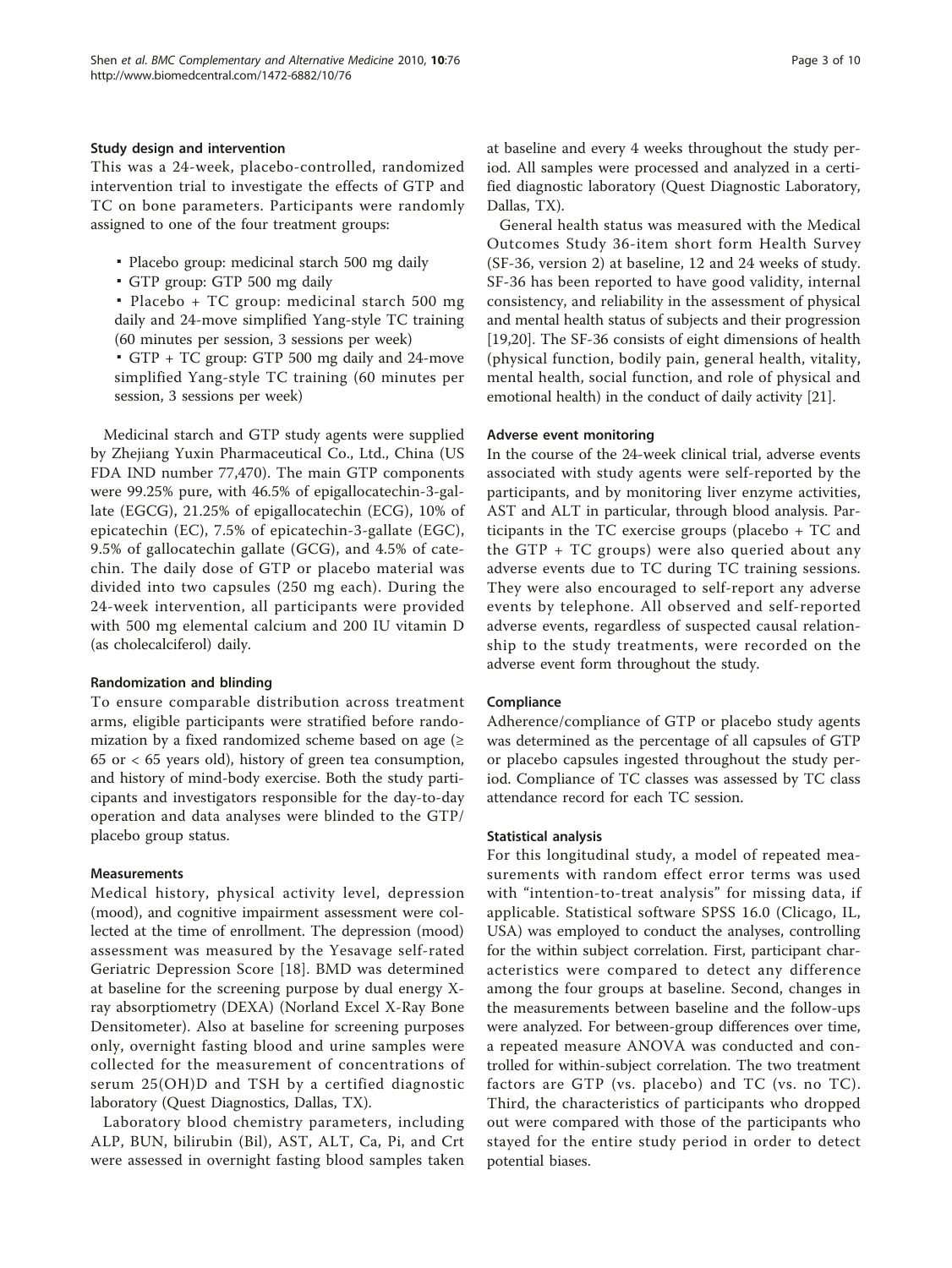## Study design and intervention

This was a 24-week, placebo-controlled, randomized intervention trial to investigate the effects of GTP and TC on bone parameters. Participants were randomly assigned to one of the four treatment groups:

- Placebo group: medicinal starch 500 mg daily
- GTP group: GTP 500 mg daily

▪ Placebo + TC group: medicinal starch 500 mg daily and 24-move simplified Yang-style TC training (60 minutes per session, 3 sessions per week)

▪ GTP + TC group: GTP 500 mg daily and 24-move simplified Yang-style TC training (60 minutes per session, 3 sessions per week)

Medicinal starch and GTP study agents were supplied by Zhejiang Yuxin Pharmaceutical Co., Ltd., China (US FDA IND number 77,470). The main GTP components were 99.25% pure, with 46.5% of epigallocatechin-3-gallate (EGCG), 21.25% of epigallocatechin (ECG), 10% of epicatechin (EC), 7.5% of epicatechin-3-gallate (EGC), 9.5% of gallocatechin gallate (GCG), and 4.5% of catechin. The daily dose of GTP or placebo material was divided into two capsules (250 mg each). During the 24-week intervention, all participants were provided with 500 mg elemental calcium and 200 IU vitamin D (as cholecalciferol) daily.

### Randomization and blinding

To ensure comparable distribution across treatment arms, eligible participants were stratified before randomization by a fixed randomized scheme based on age  $(≥$  $65$  or  $\lt 65$  years old), history of green tea consumption, and history of mind-body exercise. Both the study participants and investigators responsible for the day-to-day operation and data analyses were blinded to the GTP/ placebo group status.

## Measurements

Medical history, physical activity level, depression (mood), and cognitive impairment assessment were collected at the time of enrollment. The depression (mood) assessment was measured by the Yesavage self-rated Geriatric Depression Score [\[18\]](#page-9-0). BMD was determined at baseline for the screening purpose by dual energy Xray absorptiometry (DEXA) (Norland Excel X-Ray Bone Densitometer). Also at baseline for screening purposes only, overnight fasting blood and urine samples were collected for the measurement of concentrations of serum 25(OH)D and TSH by a certified diagnostic laboratory (Quest Diagnostics, Dallas, TX).

Laboratory blood chemistry parameters, including ALP, BUN, bilirubin (Bil), AST, ALT, Ca, Pi, and Crt were assessed in overnight fasting blood samples taken at baseline and every 4 weeks throughout the study period. All samples were processed and analyzed in a certified diagnostic laboratory (Quest Diagnostic Laboratory, Dallas, TX).

General health status was measured with the Medical Outcomes Study 36-item short form Health Survey (SF-36, version 2) at baseline, 12 and 24 weeks of study. SF-36 has been reported to have good validity, internal consistency, and reliability in the assessment of physical and mental health status of subjects and their progression [[19,20\]](#page-9-0). The SF-36 consists of eight dimensions of health (physical function, bodily pain, general health, vitality, mental health, social function, and role of physical and emotional health) in the conduct of daily activity [\[21\]](#page-9-0).

## Adverse event monitoring

In the course of the 24-week clinical trial, adverse events associated with study agents were self-reported by the participants, and by monitoring liver enzyme activities, AST and ALT in particular, through blood analysis. Participants in the TC exercise groups (placebo + TC and the GTP + TC groups) were also queried about any adverse events due to TC during TC training sessions. They were also encouraged to self-report any adverse events by telephone. All observed and self-reported adverse events, regardless of suspected causal relationship to the study treatments, were recorded on the adverse event form throughout the study.

## Compliance

Adherence/compliance of GTP or placebo study agents was determined as the percentage of all capsules of GTP or placebo capsules ingested throughout the study period. Compliance of TC classes was assessed by TC class attendance record for each TC session.

## Statistical analysis

For this longitudinal study, a model of repeated measurements with random effect error terms was used with "intention-to-treat analysis" for missing data, if applicable. Statistical software SPSS 16.0 (Clicago, IL, USA) was employed to conduct the analyses, controlling for the within subject correlation. First, participant characteristics were compared to detect any difference among the four groups at baseline. Second, changes in the measurements between baseline and the follow-ups were analyzed. For between-group differences over time, a repeated measure ANOVA was conducted and controlled for within-subject correlation. The two treatment factors are GTP (vs. placebo) and TC (vs. no TC). Third, the characteristics of participants who dropped out were compared with those of the participants who stayed for the entire study period in order to detect potential biases.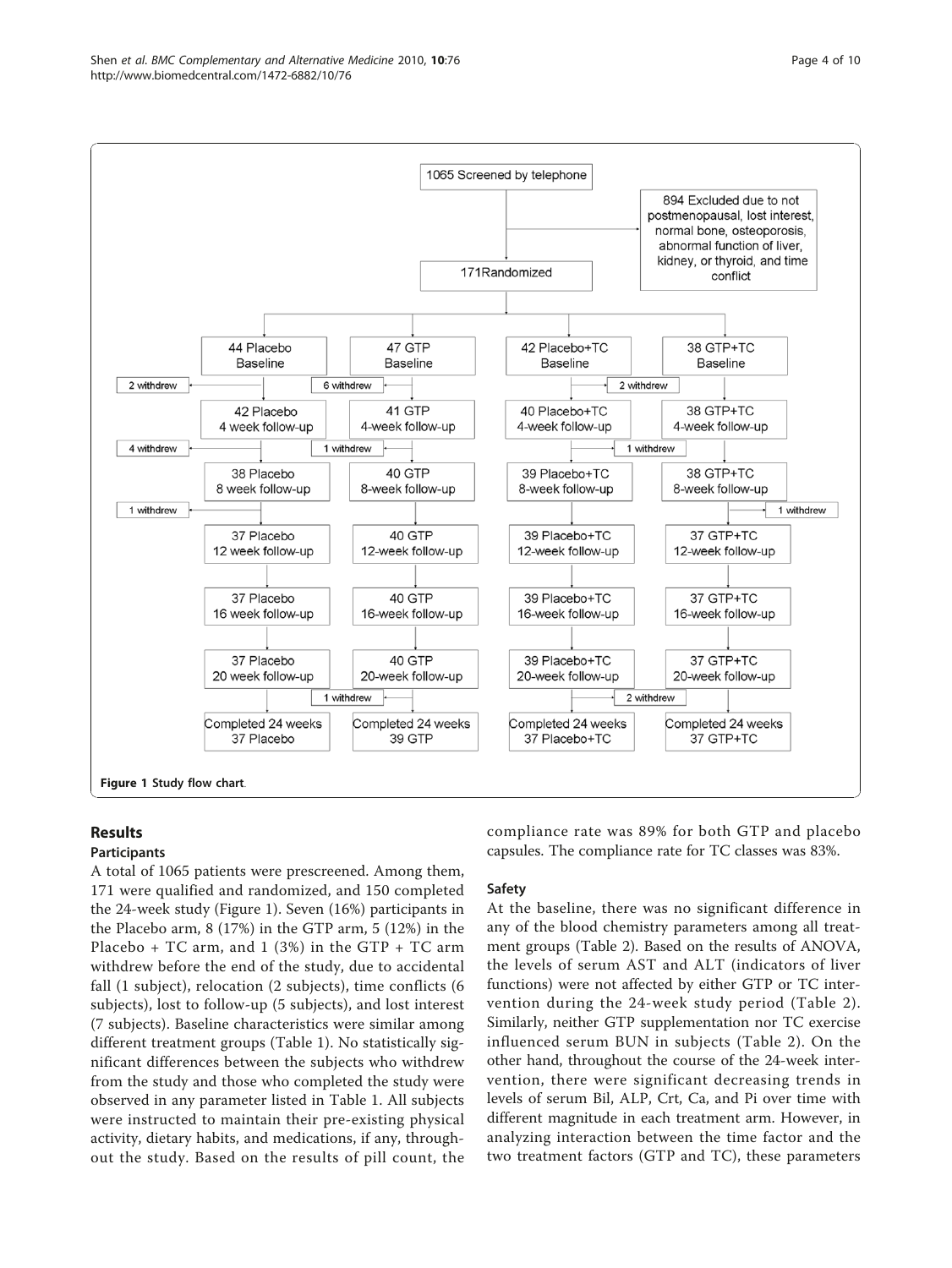

## Results

## Participants

A total of 1065 patients were prescreened. Among them, 171 were qualified and randomized, and 150 completed the 24-week study (Figure 1). Seven (16%) participants in the Placebo arm, 8 (17%) in the GTP arm, 5 (12%) in the Placebo + TC arm, and 1 (3%) in the GTP + TC arm withdrew before the end of the study, due to accidental fall (1 subject), relocation (2 subjects), time conflicts (6 subjects), lost to follow-up (5 subjects), and lost interest (7 subjects). Baseline characteristics were similar among different treatment groups (Table [1](#page-4-0)). No statistically significant differences between the subjects who withdrew from the study and those who completed the study were observed in any parameter listed in Table [1](#page-4-0). All subjects were instructed to maintain their pre-existing physical activity, dietary habits, and medications, if any, throughout the study. Based on the results of pill count, the compliance rate was 89% for both GTP and placebo capsules. The compliance rate for TC classes was 83%.

## Safety

At the baseline, there was no significant difference in any of the blood chemistry parameters among all treatment groups (Table [2](#page-5-0)). Based on the results of ANOVA, the levels of serum AST and ALT (indicators of liver functions) were not affected by either GTP or TC intervention during the 24-week study period (Table [2\)](#page-5-0). Similarly, neither GTP supplementation nor TC exercise influenced serum BUN in subjects (Table [2](#page-5-0)). On the other hand, throughout the course of the 24-week intervention, there were significant decreasing trends in levels of serum Bil, ALP, Crt, Ca, and Pi over time with different magnitude in each treatment arm. However, in analyzing interaction between the time factor and the two treatment factors (GTP and TC), these parameters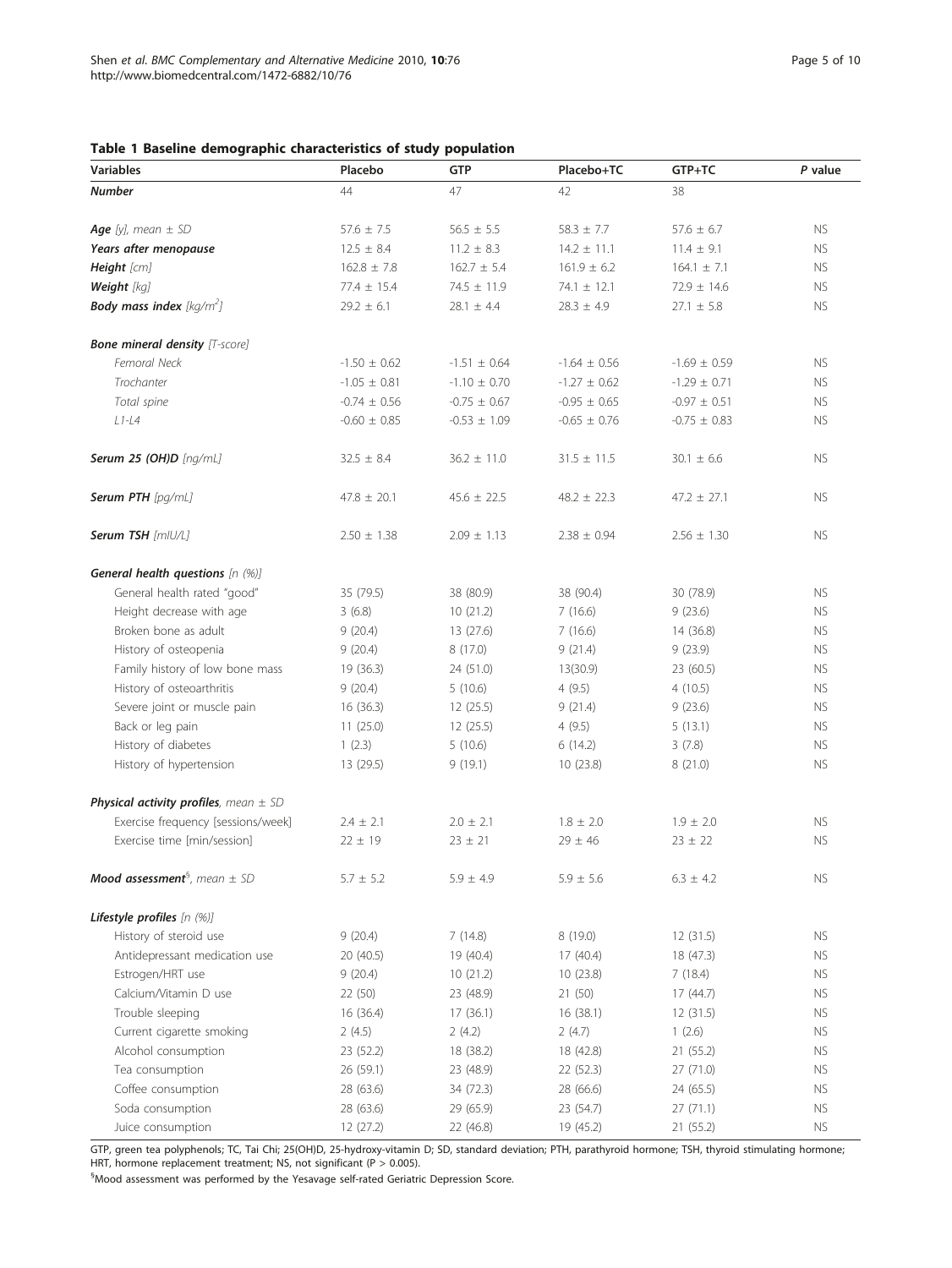## <span id="page-4-0"></span>Table 1 Baseline demographic characteristics of study population

| <b>Variables</b>                                    | Placebo          | <b>GTP</b>       | Placebo+TC       | GTP+TC           | P value   |
|-----------------------------------------------------|------------------|------------------|------------------|------------------|-----------|
| <b>Number</b>                                       | 44               | 47               | 42               | 38               |           |
|                                                     |                  |                  |                  |                  |           |
| Age [y], mean $\pm$ SD                              | $57.6 \pm 7.5$   | $56.5 \pm 5.5$   | $58.3 \pm 7.7$   | $57.6 \pm 6.7$   | NS.       |
| Years after menopause                               | $12.5 \pm 8.4$   | $11.2 \pm 8.3$   | $14.2 \pm 11.1$  | $11.4 \pm 9.1$   | <b>NS</b> |
| Height [cm]                                         | $162.8 \pm 7.8$  | $162.7 \pm 5.4$  | $161.9 \pm 6.2$  | $164.1 \pm 7.1$  | <b>NS</b> |
| Weight [kg]                                         | $77.4 \pm 15.4$  | $74.5 \pm 11.9$  | $74.1 \pm 12.1$  | $72.9 \pm 14.6$  | <b>NS</b> |
| <b>Body mass index</b> [kg/m <sup>2</sup> ]         | $29.2 \pm 6.1$   | $28.1 \pm 4.4$   | $28.3 \pm 4.9$   | $27.1 \pm 5.8$   | <b>NS</b> |
| <b>Bone mineral density</b> [T-score]               |                  |                  |                  |                  |           |
| Femoral Neck                                        | $-1.50 \pm 0.62$ | $-1.51 \pm 0.64$ | $-1.64 \pm 0.56$ | $-1.69 \pm 0.59$ | <b>NS</b> |
| Trochanter                                          | $-1.05 \pm 0.81$ | $-1.10 \pm 0.70$ | $-1.27 \pm 0.62$ | $-1.29 \pm 0.71$ | <b>NS</b> |
| Total spine                                         | $-0.74 \pm 0.56$ | $-0.75 \pm 0.67$ | $-0.95 \pm 0.65$ | $-0.97 \pm 0.51$ | <b>NS</b> |
| $L1-L4$                                             | $-0.60 \pm 0.85$ | $-0.53 \pm 1.09$ | $-0.65 \pm 0.76$ | $-0.75 \pm 0.83$ | <b>NS</b> |
| Serum 25 (OH)D [ng/mL]                              | $32.5 \pm 8.4$   | $36.2 \pm 11.0$  | $31.5 \pm 11.5$  | $30.1 \pm 6.6$   | <b>NS</b> |
| Serum PTH [pg/mL]                                   | $47.8 \pm 20.1$  | $45.6 \pm 22.5$  | $48.2 \pm 22.3$  | $47.2 \pm 27.1$  | <b>NS</b> |
| Serum TSH [mlU/L]                                   | $2.50 \pm 1.38$  | $2.09 \pm 1.13$  | $2.38 \pm 0.94$  | $2.56 \pm 1.30$  | <b>NS</b> |
| General health questions [n (%)]                    |                  |                  |                  |                  |           |
| General health rated "good"                         | 35 (79.5)        | 38 (80.9)        | 38 (90.4)        | 30 (78.9)        | <b>NS</b> |
| Height decrease with age                            | 3(6.8)           | 10(21.2)         | 7(16.6)          | 9(23.6)          | <b>NS</b> |
| Broken bone as adult                                | 9(20.4)          | 13(27.6)         | 7(16.6)          | 14(36.8)         | <b>NS</b> |
| History of osteopenia                               | 9(20.4)          | 8(17.0)          | 9(21.4)          | 9(23.9)          | <b>NS</b> |
| Family history of low bone mass                     | 19(36.3)         | 24 (51.0)        | 13(30.9)         | 23 (60.5)        | <b>NS</b> |
| History of osteoarthritis                           | 9(20.4)          | 5(10.6)          | 4(9.5)           | 4(10.5)          | <b>NS</b> |
| Severe joint or muscle pain                         | 16(36.3)         | 12(25.5)         | 9(21.4)          | 9(23.6)          | <b>NS</b> |
| Back or leg pain                                    | 11(25.0)         | 12(25.5)         | 4(9.5)           | 5(13.1)          | <b>NS</b> |
| History of diabetes                                 | 1(2.3)           | 5(10.6)          | 6(14.2)          | 3(7.8)           | <b>NS</b> |
| History of hypertension                             | 13(29.5)         | 9(19.1)          | 10(23.8)         | 8 (21.0)         | NS.       |
| <b>Physical activity profiles</b> , mean $\pm$ SD   |                  |                  |                  |                  |           |
| Exercise frequency [sessions/week]                  | $2.4 \pm 2.1$    | $2.0 \pm 2.1$    | $1.8 \pm 2.0$    | $1.9 \pm 2.0$    | NS.       |
| Exercise time [min/session]                         | $22 \pm 19$      | $23 \pm 21$      | $29 \pm 46$      | $23 \pm 22$      | <b>NS</b> |
| <b>Mood assessment</b> <sup>3</sup> , mean $\pm$ SD | $5.7 \pm 5.2$    | $5.9 \pm 4.9$    | $5.9 \pm 5.6$    | $6.3 \pm 4.2$    | NS.       |
| Lifestyle profiles [n (%)]                          |                  |                  |                  |                  |           |
| History of steroid use                              | 9(20.4)          | 7(14.8)          | 8 (19.0)         | 12(31.5)         | NS.       |
| Antidepressant medication use                       | 20(40.5)         | 19 (40.4)        | 17(40.4)         | 18(47.3)         | <b>NS</b> |
| Estrogen/HRT use                                    | 9(20.4)          | 10(21.2)         | 10(23.8)         | 7(18.4)          | NS.       |
| Calcium/Vitamin D use                               | 22(50)           | 23 (48.9)        | 21(50)           | 17(44.7)         | NS.       |
| Trouble sleeping                                    | 16(36.4)         | 17(36.1)         | 16(38.1)         | 12(31.5)         | NS.       |
| Current cigarette smoking                           | 2(4.5)           | 2(4.2)           | 2(4.7)           | 1(2.6)           | NS.       |
| Alcohol consumption                                 | 23(52.2)         | 18 (38.2)        | 18 (42.8)        | 21(55.2)         | NS.       |
| Tea consumption                                     | 26(59.1)         | 23 (48.9)        | 22(52.3)         | 27(71.0)         | NS.       |
| Coffee consumption                                  | 28 (63.6)        | 34 (72.3)        | 28 (66.6)        | 24(65.5)         | NS.       |
| Soda consumption                                    | 28 (63.6)        | 29 (65.9)        | 23 (54.7)        | 27(71.1)         | NS.       |
| Juice consumption                                   | 12(27.2)         | 22 (46.8)        | 19 (45.2)        | 21 (55.2)        | <b>NS</b> |

GTP, green tea polyphenols; TC, Tai Chi; 25(OH)D, 25-hydroxy-vitamin D; SD, standard deviation; PTH, parathyroid hormone; TSH, thyroid stimulating hormone; HRT, hormone replacement treatment; NS, not significant (P > 0.005).

§ Mood assessment was performed by the Yesavage self-rated Geriatric Depression Score.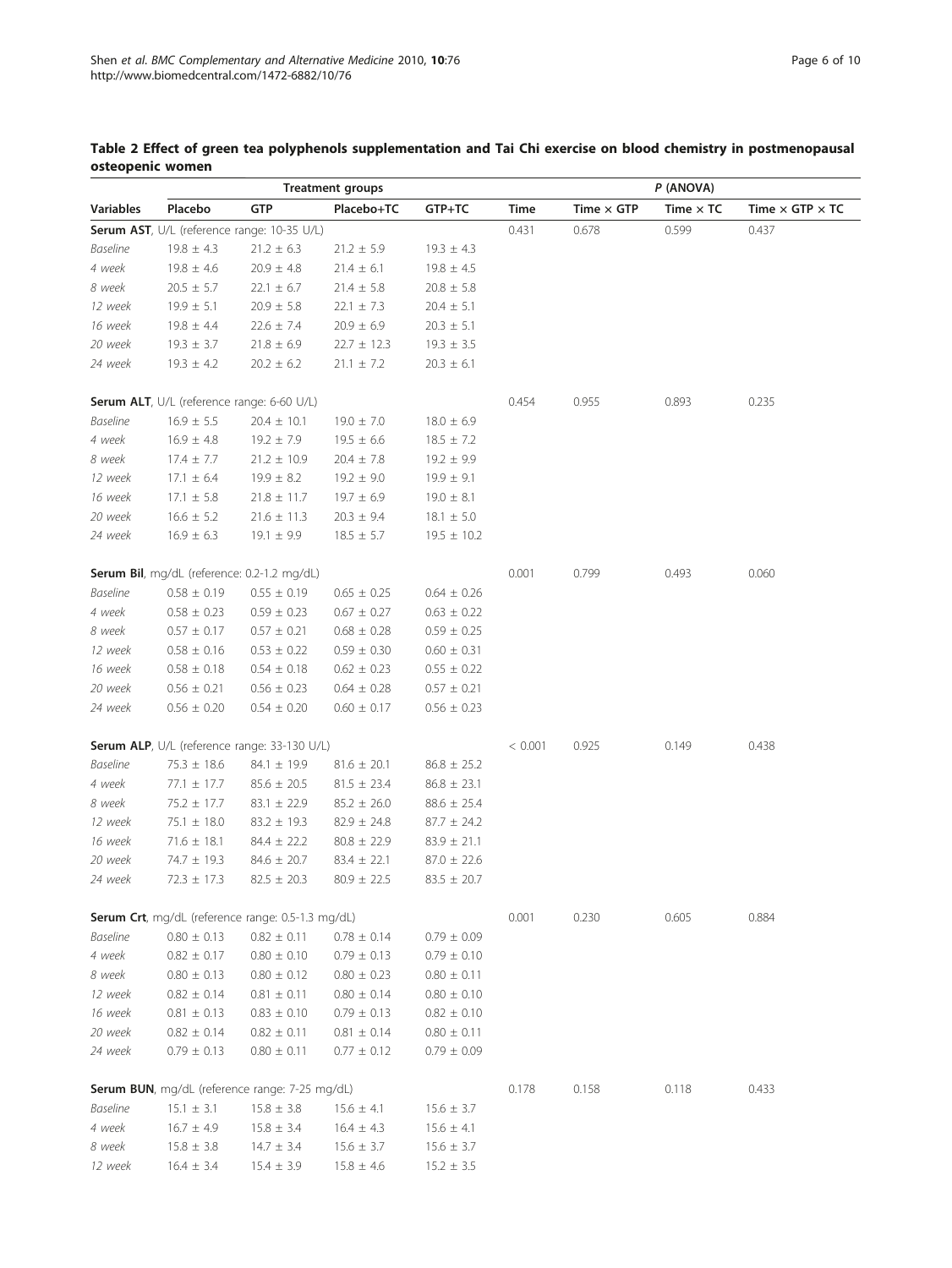| <b>Treatment groups</b> |                                            |                                                   |                   |                  |         |                   |                  |                               |
|-------------------------|--------------------------------------------|---------------------------------------------------|-------------------|------------------|---------|-------------------|------------------|-------------------------------|
| <b>Variables</b>        | Placebo                                    | GTP                                               | Placebo+TC        | GTP+TC           | Time    | Time $\times$ GTP | Time $\times$ TC | Time $\times$ GTP $\times$ TC |
|                         |                                            | Serum AST, U/L (reference range: 10-35 U/L)       |                   |                  | 0.431   | 0.678             | 0.599            | 0.437                         |
| <b>Baseline</b>         | $19.8 \pm 4.3$                             | $21.2 \pm 6.3$                                    | $21.2 \pm 5.9$    | $19.3 \pm 4.3$   |         |                   |                  |                               |
| $4$ week                | $19.8 \pm 4.6$                             | $20.9 \pm 4.8$                                    | $21.4 \pm 6.1$    | $19.8 \pm 4.5$   |         |                   |                  |                               |
| 8 week                  | $20.5 \pm 5.7$                             | $22.1\,\pm\,6.7$                                  | $21.4 \pm 5.8$    | $20.8\,\pm\,5.8$ |         |                   |                  |                               |
| 12 week                 | $19.9 \pm 5.1$                             | $20.9 \pm 5.8$                                    | $22.1 \pm 7.3$    | $20.4 \pm 5.1$   |         |                   |                  |                               |
| 16 week                 | $19.8 \pm 4.4$                             | $22.6\,\pm\,7.4$                                  | $20.9 \pm 6.9$    | $20.3~\pm~5.1$   |         |                   |                  |                               |
| 20 week                 | $19.3~\pm~3.7$                             | $21.8 \pm 6.9$                                    | $22.7 \pm 12.3$   | $19.3 \pm 3.5$   |         |                   |                  |                               |
| 24 week                 | $19.3 \pm 4.2$                             | $20.2 \pm 6.2$                                    | $21.1~\pm~7.2$    | $20.3 \pm 6.1$   |         |                   |                  |                               |
|                         | Serum ALT, U/L (reference range: 6-60 U/L) |                                                   |                   |                  | 0.454   | 0.955             | 0.893            | 0.235                         |
| <b>Baseline</b>         | $16.9 \pm 5.5$                             | $20.4 \pm 10.1$                                   | $19.0 \pm 7.0$    | $18.0 \pm 6.9$   |         |                   |                  |                               |
| 4 week                  | $16.9 \pm 4.8$                             | $19.2 \pm 7.9$                                    | $19.5 \pm 6.6$    | $18.5 \pm 7.2$   |         |                   |                  |                               |
| 8 week                  | $17.4 \pm 7.7$                             | $21.2 \pm 10.9$                                   | $20.4 \pm 7.8$    | $19.2 \pm 9.9$   |         |                   |                  |                               |
| 12 week                 | $17.1 \pm 6.4$                             | $19.9 \pm 8.2$                                    | $19.2 \pm 9.0$    | $19.9 \pm 9.1$   |         |                   |                  |                               |
| 16 week                 | $17.1 \pm 5.8$                             | $21.8 \pm 11.7$                                   | $19.7 \pm 6.9$    | $19.0 \pm 8.1$   |         |                   |                  |                               |
| 20 week                 | $16.6 \pm 5.2$                             | $21.6 \pm 11.3$                                   | $20.3 \pm 9.4$    | $18.1 \pm 5.0$   |         |                   |                  |                               |
| 24 week                 | $16.9 \pm 6.3$                             | $19.1 \pm 9.9$                                    | $18.5 \pm 5.7$    | $19.5 \pm 10.2$  |         |                   |                  |                               |
|                         |                                            | Serum Bil, mg/dL (reference: 0.2-1.2 mg/dL)       |                   |                  | 0.001   | 0.799             | 0.493            | 0.060                         |
| <b>Baseline</b>         | $0.58 \pm 0.19$                            | $0.55 \pm 0.19$                                   | $0.65 \pm 0.25$   | $0.64 \pm 0.26$  |         |                   |                  |                               |
| 4 week                  | $0.58 \pm 0.23$                            | $0.59\,\pm\,0.23$                                 | $0.67\,\pm\,0.27$ | $0.63 \pm 0.22$  |         |                   |                  |                               |
| 8 week                  | $0.57 \pm 0.17$                            | $0.57 \pm 0.21$                                   | $0.68 \pm 0.28$   | $0.59 \pm 0.25$  |         |                   |                  |                               |
| 12 week                 | $0.58 \pm 0.16$                            | $0.53 \pm 0.22$                                   | $0.59 \pm 0.30$   | $0.60 \pm 0.31$  |         |                   |                  |                               |
| 16 week                 | $0.58 \pm 0.18$                            | $0.54 \pm 0.18$                                   | $0.62 \pm 0.23$   | $0.55 \pm 0.22$  |         |                   |                  |                               |
| 20 week                 | $0.56 \pm 0.21$                            | $0.56 \pm 0.23$                                   | $0.64 \pm 0.28$   | $0.57 \pm 0.21$  |         |                   |                  |                               |
| 24 week                 | $0.56 \pm 0.20$                            | $0.54 \pm 0.20$                                   | $0.60 \pm 0.17$   | $0.56 \pm 0.23$  |         |                   |                  |                               |
|                         |                                            | Serum ALP, U/L (reference range: 33-130 U/L)      |                   |                  | < 0.001 | 0.925             | 0.149            | 0.438                         |
| <b>Baseline</b>         | $75.3 \pm 18.6$                            | $84.1 \pm 19.9$                                   | $81.6 \pm 20.1$   | $86.8 \pm 25.2$  |         |                   |                  |                               |
| 4 week                  | $77.1 \pm 17.7$                            | $85.6 \pm 20.5$                                   | $81.5 \pm 23.4$   | $86.8 \pm 23.1$  |         |                   |                  |                               |
| 8 week                  | $75.2 \pm 17.7$                            | $83.1 \pm 22.9$                                   | $85.2 \pm 26.0$   | $88.6 \pm 25.4$  |         |                   |                  |                               |
| 12 week                 | $75.1 \pm 18.0$                            | $83.2 \pm 19.3$                                   | $82.9 \pm 24.8$   | $87.7 \pm 24.2$  |         |                   |                  |                               |
| 16 week                 | $71.6 \pm 18.1$                            | $84.4 \pm 22.2$                                   | $80.8 \pm 22.9$   | $83.9 \pm 21.1$  |         |                   |                  |                               |
| 20 week                 | 74.7 ± 19.3                                | $84.6 \pm 20.7$                                   | $83.4 \pm 22.1$   | $87.0 \pm 22.6$  |         |                   |                  |                               |
| 24 week                 | $72.3 \pm 17.3$                            | $82.5 \pm 20.3$                                   | $80.9 \pm 22.5$   | $83.5 \pm 20.7$  |         |                   |                  |                               |
|                         |                                            | Serum Crt, mg/dL (reference range: 0.5-1.3 mg/dL) |                   |                  | 0.001   | 0.230             | 0.605            | 0.884                         |
| <b>Baseline</b>         | $0.80 \pm 0.13$                            | $0.82 \pm 0.11$                                   | $0.78 \pm 0.14$   | $0.79 \pm 0.09$  |         |                   |                  |                               |
| 4 week                  | $0.82 \pm 0.17$                            | $0.80 \pm 0.10$                                   | $0.79 \pm 0.13$   | $0.79 \pm 0.10$  |         |                   |                  |                               |
| 8 week                  | $0.80 \pm 0.13$                            | $0.80 \pm 0.12$                                   | $0.80 \pm 0.23$   | $0.80 \pm 0.11$  |         |                   |                  |                               |
| 12 week                 | $0.82 \pm 0.14$                            | $0.81 \pm 0.11$                                   | $0.80 \pm 0.14$   | $0.80 \pm 0.10$  |         |                   |                  |                               |
| 16 week                 | $0.81\,\pm\,0.13$                          | $0.83 \pm 0.10$                                   | $0.79 \pm 0.13$   | $0.82 \pm 0.10$  |         |                   |                  |                               |
| 20 week                 | $0.82 \pm 0.14$                            | $0.82 \pm 0.11$                                   | $0.81 \pm 0.14$   | $0.80 \pm 0.11$  |         |                   |                  |                               |
| 24 week                 | $0.79 \pm 0.13$                            | $0.80 \pm 0.11$                                   | $0.77 \pm 0.12$   | $0.79 \pm 0.09$  |         |                   |                  |                               |
|                         |                                            | Serum BUN, mg/dL (reference range: 7-25 mg/dL)    |                   |                  | 0.178   | 0.158             | 0.118            | 0.433                         |
| <b>Baseline</b>         | $15.1 \pm 3.1$                             | $15.8 \pm 3.8$                                    | $15.6 \pm 4.1$    | $15.6 \pm 3.7$   |         |                   |                  |                               |
| 4 week                  | $16.7 \pm 4.9$                             | $15.8 \pm 3.4$                                    | $16.4 \pm 4.3$    | $15.6 \pm 4.1$   |         |                   |                  |                               |
| 8 week                  | $15.8 \pm 3.8$                             | $14.7 \pm 3.4$                                    | $15.6 \pm 3.7$    | $15.6 \pm 3.7$   |         |                   |                  |                               |
| 12 week                 | $16.4 \pm 3.4$                             | $15.4 \pm 3.9$                                    | $15.8 \pm 4.6$    | $15.2 \pm 3.5$   |         |                   |                  |                               |

#### <span id="page-5-0"></span>Table 2 Effect of green tea polyphenols supplementation and Tai Chi exercise on blood chemistry in postmenopausal osteopenic women  $\overline{a}$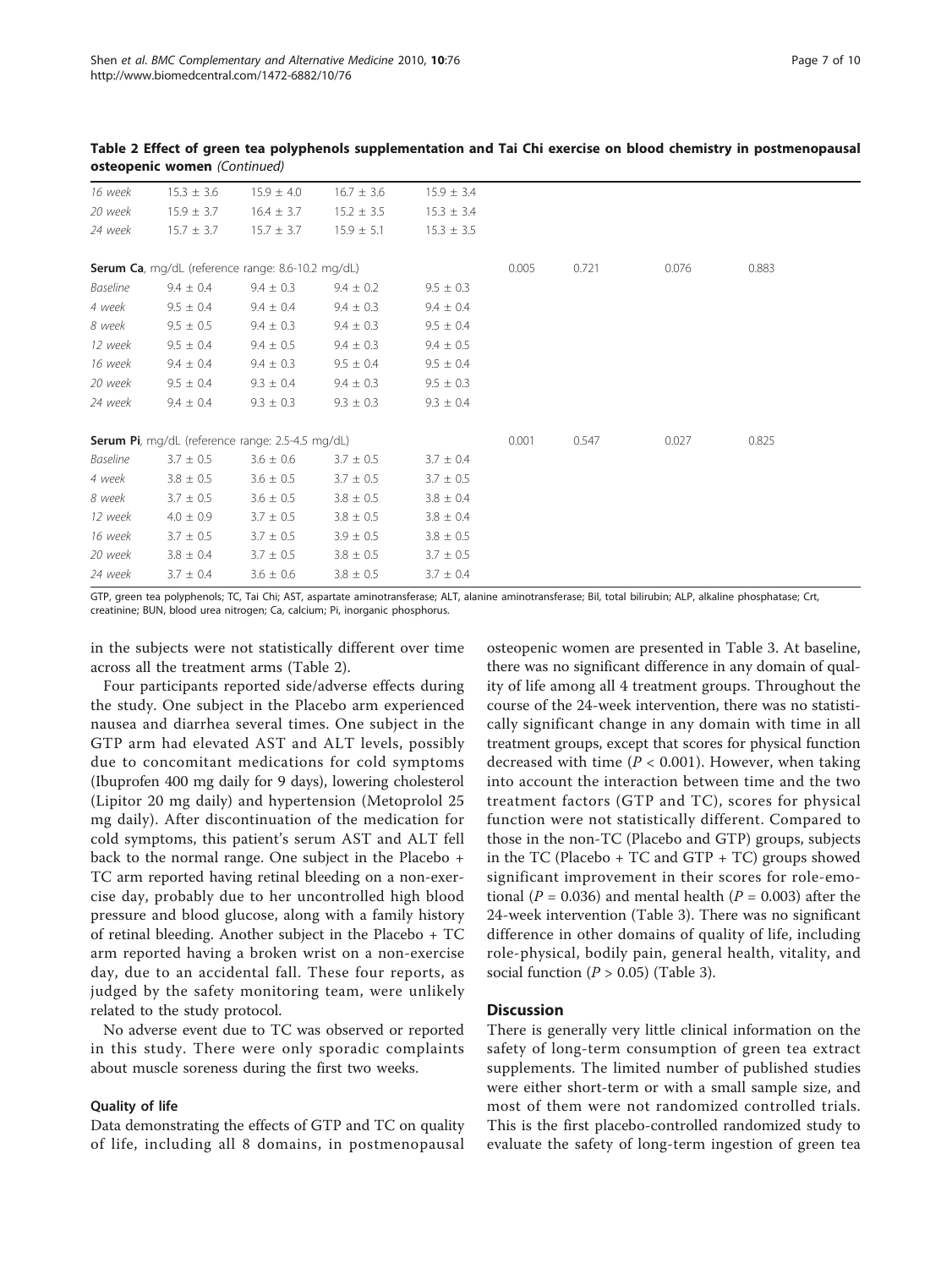| 16 week                                           | $15.3 \pm 3.6$ | $15.9 \pm 4.0$                                   | $16.7 \pm 3.6$ | $15.9 \pm 3.4$ |       |       |       |       |  |
|---------------------------------------------------|----------------|--------------------------------------------------|----------------|----------------|-------|-------|-------|-------|--|
| 20 week                                           | $15.9 \pm 3.7$ | $16.4 \pm 3.7$                                   | $15.2 \pm 3.5$ | $15.3 \pm 3.4$ |       |       |       |       |  |
| 24 week                                           | $15.7 \pm 3.7$ | $15.7 \pm 3.7$                                   | $15.9 \pm 5.1$ | $15.3 \pm 3.5$ |       |       |       |       |  |
|                                                   |                |                                                  |                |                |       |       |       |       |  |
| Serum Ca, mg/dL (reference range: 8.6-10.2 mg/dL) |                |                                                  |                |                |       | 0.721 | 0.076 | 0.883 |  |
| <b>Baseline</b>                                   | $9.4 \pm 0.4$  | $9.4 \pm 0.3$                                    | $9.4 \pm 0.2$  | $9.5 \pm 0.3$  |       |       |       |       |  |
| 4 week                                            | $9.5 \pm 0.4$  | $9.4 \pm 0.4$                                    | $9.4 \pm 0.3$  | $9.4 \pm 0.4$  |       |       |       |       |  |
| 8 week                                            | $9.5 \pm 0.5$  | $9.4 \pm 0.3$                                    | $9.4 \pm 0.3$  | $9.5 \pm 0.4$  |       |       |       |       |  |
| 12 week                                           | $9.5 \pm 0.4$  | $9.4 \pm 0.5$                                    | $9.4 \pm 0.3$  | $9.4 \pm 0.5$  |       |       |       |       |  |
| 16 week                                           | $9.4 \pm 0.4$  | $9.4 \pm 0.3$                                    | $9.5 \pm 0.4$  | $9.5 \pm 0.4$  |       |       |       |       |  |
| 20 week                                           | $9.5 \pm 0.4$  | $9.3 \pm 0.4$                                    | $9.4 \pm 0.3$  | $9.5 \pm 0.3$  |       |       |       |       |  |
| 24 week                                           | $9.4 \pm 0.4$  | $9.3 \pm 0.3$                                    | $9.3 \pm 0.3$  | $9.3 \pm 0.4$  |       |       |       |       |  |
|                                                   |                |                                                  |                |                |       |       |       |       |  |
|                                                   |                | Serum Pi, mg/dL (reference range: 2.5-4.5 mg/dL) |                |                | 0.001 | 0.547 | 0.027 | 0.825 |  |
| Baseline                                          | $3.7 \pm 0.5$  | $3.6 \pm 0.6$                                    | $3.7 \pm 0.5$  | $3.7 \pm 0.4$  |       |       |       |       |  |
| 4 week                                            | $3.8 \pm 0.5$  | $3.6 \pm 0.5$                                    | $3.7 \pm 0.5$  | $3.7 \pm 0.5$  |       |       |       |       |  |
| 8 week                                            | $3.7 \pm 0.5$  | $3.6 \pm 0.5$                                    | $3.8 \pm 0.5$  | $3.8 \pm 0.4$  |       |       |       |       |  |
| 12 week                                           | $4.0 \pm 0.9$  | $3.7 \pm 0.5$                                    | $3.8 \pm 0.5$  | $3.8 \pm 0.4$  |       |       |       |       |  |
| 16 week                                           | $3.7 \pm 0.5$  | $3.7 \pm 0.5$                                    | $3.9 \pm 0.5$  | $3.8 \pm 0.5$  |       |       |       |       |  |
| 20 week                                           | $3.8 \pm 0.4$  | $3.7 \pm 0.5$                                    | $3.8 \pm 0.5$  | $3.7 \pm 0.5$  |       |       |       |       |  |
| 24 week                                           | $3.7 \pm 0.4$  | $3.6 \pm 0.6$                                    | $3.8 \pm 0.5$  | $3.7 \pm 0.4$  |       |       |       |       |  |
|                                                   |                |                                                  |                |                |       |       |       |       |  |

Table 2 Effect of green tea polyphenols supplementation and Tai Chi exercise on blood chemistry in postmenopausal osteopenic women (Continued)

GTP, green tea polyphenols; TC, Tai Chi; AST, aspartate aminotransferase; ALT, alanine aminotransferase; Bil, total bilirubin; ALP, alkaline phosphatase; Crt, creatinine; BUN, blood urea nitrogen; Ca, calcium; Pi, inorganic phosphorus.

in the subjects were not statistically different over time across all the treatment arms (Table [2](#page-5-0)).

Four participants reported side/adverse effects during the study. One subject in the Placebo arm experienced nausea and diarrhea several times. One subject in the GTP arm had elevated AST and ALT levels, possibly due to concomitant medications for cold symptoms (Ibuprofen 400 mg daily for 9 days), lowering cholesterol (Lipitor 20 mg daily) and hypertension (Metoprolol 25 mg daily). After discontinuation of the medication for cold symptoms, this patient's serum AST and ALT fell back to the normal range. One subject in the Placebo + TC arm reported having retinal bleeding on a non-exercise day, probably due to her uncontrolled high blood pressure and blood glucose, along with a family history of retinal bleeding. Another subject in the Placebo + TC arm reported having a broken wrist on a non-exercise day, due to an accidental fall. These four reports, as judged by the safety monitoring team, were unlikely related to the study protocol.

No adverse event due to TC was observed or reported in this study. There were only sporadic complaints about muscle soreness during the first two weeks.

## Quality of life

Data demonstrating the effects of GTP and TC on quality of life, including all 8 domains, in postmenopausal

osteopenic women are presented in Table [3](#page-7-0). At baseline, there was no significant difference in any domain of quality of life among all 4 treatment groups. Throughout the course of the 24-week intervention, there was no statistically significant change in any domain with time in all treatment groups, except that scores for physical function decreased with time ( $P < 0.001$ ). However, when taking into account the interaction between time and the two treatment factors (GTP and TC), scores for physical function were not statistically different. Compared to those in the non-TC (Placebo and GTP) groups, subjects in the TC (Placebo  $+$  TC and GTP  $+$  TC) groups showed significant improvement in their scores for role-emotional ( $P = 0.036$ ) and mental health ( $P = 0.003$ ) after the 24-week intervention (Table [3](#page-7-0)). There was no significant difference in other domains of quality of life, including role-physical, bodily pain, general health, vitality, and social function  $(P > 0.05)$  (Table [3\)](#page-7-0).

## **Discussion**

There is generally very little clinical information on the safety of long-term consumption of green tea extract supplements. The limited number of published studies were either short-term or with a small sample size, and most of them were not randomized controlled trials. This is the first placebo-controlled randomized study to evaluate the safety of long-term ingestion of green tea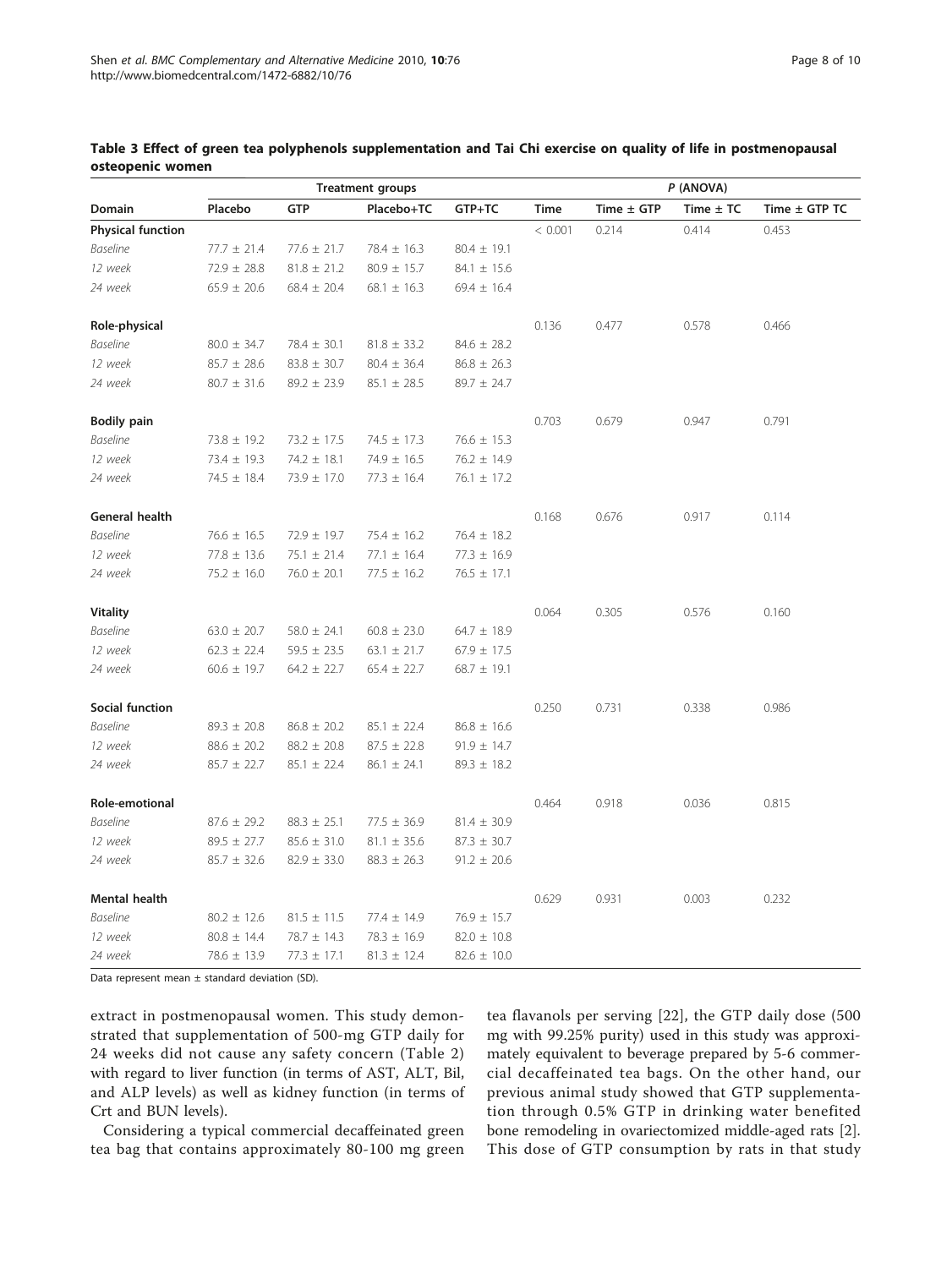|                          |                 |                 | <b>Treatment groups</b> |                 | P (ANOVA) |                |               |               |
|--------------------------|-----------------|-----------------|-------------------------|-----------------|-----------|----------------|---------------|---------------|
| Domain                   | Placebo         | <b>GTP</b>      | Placebo+TC              | GTP+TC          | Time      | Time $\pm$ GTP | Time $\pm$ TC | Time ± GTP TC |
| <b>Physical function</b> |                 |                 |                         |                 | < 0.001   | 0.214          | 0.414         | 0.453         |
| <b>Baseline</b>          | $77.7 \pm 21.4$ | $77.6 \pm 21.7$ | $78.4 \pm 16.3$         | $80.4 \pm 19.1$ |           |                |               |               |
| 12 week                  | $72.9 \pm 28.8$ | $81.8 \pm 21.2$ | $80.9 \pm 15.7$         | $84.1 \pm 15.6$ |           |                |               |               |
| 24 week                  | $65.9 \pm 20.6$ | $68.4 \pm 20.4$ | $68.1 \pm 16.3$         | $69.4 \pm 16.4$ |           |                |               |               |
| Role-physical            |                 |                 |                         |                 | 0.136     | 0.477          | 0.578         | 0.466         |
| <b>Baseline</b>          | $80.0 \pm 34.7$ | $78.4 \pm 30.1$ | $81.8 \pm 33.2$         | $84.6 \pm 28.2$ |           |                |               |               |
| 12 week                  | $85.7 \pm 28.6$ | $83.8 \pm 30.7$ | $80.4 \pm 36.4$         | $86.8 \pm 26.3$ |           |                |               |               |
| 24 week                  | $80.7 \pm 31.6$ | $89.2 \pm 23.9$ | $85.1 \pm 28.5$         | $89.7 \pm 24.7$ |           |                |               |               |
| <b>Bodily pain</b>       |                 |                 |                         |                 | 0.703     | 0.679          | 0.947         | 0.791         |
| <b>Baseline</b>          | $73.8 \pm 19.2$ | $73.2 \pm 17.5$ | $74.5 \pm 17.3$         | $76.6 \pm 15.3$ |           |                |               |               |
| 12 week                  | 73.4 ± 19.3     | $74.2 \pm 18.1$ | $74.9 \pm 16.5$         | $76.2 \pm 14.9$ |           |                |               |               |
| 24 week                  | $74.5 \pm 18.4$ | 73.9 ± 17.0     | $77.3 \pm 16.4$         | $76.1 \pm 17.2$ |           |                |               |               |
| General health           |                 |                 |                         |                 | 0.168     | 0.676          | 0.917         | 0.114         |
| <b>Baseline</b>          | $76.6 \pm 16.5$ | $72.9 \pm 19.7$ | $75.4 \pm 16.2$         | $76.4 \pm 18.2$ |           |                |               |               |
| 12 week                  | $77.8 \pm 13.6$ | $75.1 \pm 21.4$ | $77.1 \pm 16.4$         | $77.3 \pm 16.9$ |           |                |               |               |
| 24 week                  | $75.2 \pm 16.0$ | $76.0 \pm 20.1$ | $77.5 \pm 16.2$         | $76.5 \pm 17.1$ |           |                |               |               |
| <b>Vitality</b>          |                 |                 |                         |                 | 0.064     | 0.305          | 0.576         | 0.160         |
| <b>Baseline</b>          | $63.0 \pm 20.7$ | $58.0 \pm 24.1$ | $60.8 \pm 23.0$         | $64.7 \pm 18.9$ |           |                |               |               |
| 12 week                  | $62.3 \pm 22.4$ | $59.5 \pm 23.5$ | $63.1 \pm 21.7$         | $67.9 \pm 17.5$ |           |                |               |               |
| 24 week                  | $60.6 \pm 19.7$ | $64.2 \pm 22.7$ | $65.4 \pm 22.7$         | $68.7 \pm 19.1$ |           |                |               |               |
| Social function          |                 |                 |                         |                 | 0.250     | 0.731          | 0.338         | 0.986         |
| <b>Baseline</b>          | $89.3 \pm 20.8$ | $86.8 \pm 20.2$ | $85.1 \pm 22.4$         | $86.8 \pm 16.6$ |           |                |               |               |
| 12 week                  | $88.6 \pm 20.2$ | $88.2 \pm 20.8$ | $87.5 \pm 22.8$         | $91.9 \pm 14.7$ |           |                |               |               |
| 24 week                  | $85.7 \pm 22.7$ | $85.1 \pm 22.4$ | $86.1 \pm 24.1$         | $89.3 \pm 18.2$ |           |                |               |               |
| Role-emotional           |                 |                 |                         |                 | 0.464     | 0.918          | 0.036         | 0.815         |
| <b>Baseline</b>          | $87.6 \pm 29.2$ | $88.3 \pm 25.1$ | $77.5 \pm 36.9$         | $81.4 \pm 30.9$ |           |                |               |               |
| 12 week                  | $89.5 \pm 27.7$ | $85.6 \pm 31.0$ | $81.1 \pm 35.6$         | $87.3 \pm 30.7$ |           |                |               |               |
| 24 week                  | $85.7 \pm 32.6$ | $82.9 \pm 33.0$ | $88.3 \pm 26.3$         | $91.2 \pm 20.6$ |           |                |               |               |
| Mental health            |                 |                 |                         |                 | 0.629     | 0.931          | 0.003         | 0.232         |
| <b>Baseline</b>          | $80.2 \pm 12.6$ | $81.5 \pm 11.5$ | 77.4 ± 14.9             | $76.9 \pm 15.7$ |           |                |               |               |
| 12 week                  | $80.8 \pm 14.4$ | 78.7 ± 14.3     | $78.3 \pm 16.9$         | $82.0 \pm 10.8$ |           |                |               |               |
| 24 week                  | $78.6 \pm 13.9$ | $77.3 \pm 17.1$ | $81.3 \pm 12.4$         | $82.6 \pm 10.0$ |           |                |               |               |

<span id="page-7-0"></span>Table 3 Effect of green tea polyphenols supplementation and Tai Chi exercise on quality of life in postmenopausal osteopenic women

Data represent mean  $\pm$  standard deviation (SD).

extract in postmenopausal women. This study demonstrated that supplementation of 500-mg GTP daily for 24 weeks did not cause any safety concern (Table [2](#page-5-0)) with regard to liver function (in terms of AST, ALT, Bil, and ALP levels) as well as kidney function (in terms of Crt and BUN levels).

Considering a typical commercial decaffeinated green tea bag that contains approximately 80-100 mg green tea flavanols per serving [[22](#page-9-0)], the GTP daily dose (500 mg with 99.25% purity) used in this study was approximately equivalent to beverage prepared by 5-6 commercial decaffeinated tea bags. On the other hand, our previous animal study showed that GTP supplementation through 0.5% GTP in drinking water benefited bone remodeling in ovariectomized middle-aged rats [\[2](#page-9-0)]. This dose of GTP consumption by rats in that study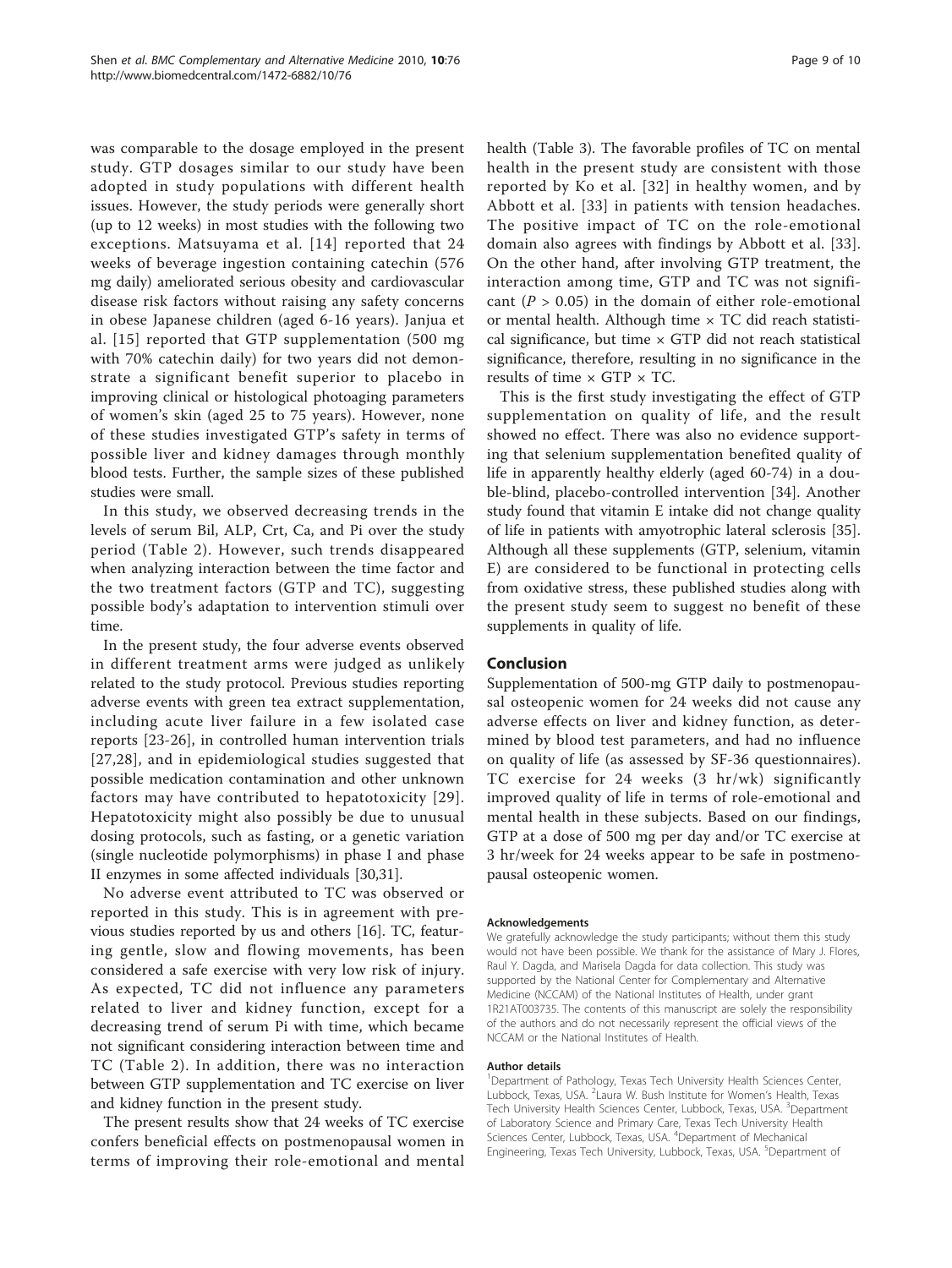was comparable to the dosage employed in the present study. GTP dosages similar to our study have been adopted in study populations with different health issues. However, the study periods were generally short (up to 12 weeks) in most studies with the following two exceptions. Matsuyama et al. [[14](#page-9-0)] reported that 24 weeks of beverage ingestion containing catechin (576 mg daily) ameliorated serious obesity and cardiovascular disease risk factors without raising any safety concerns in obese Japanese children (aged 6-16 years). Janjua et al. [[15](#page-9-0)] reported that GTP supplementation (500 mg with 70% catechin daily) for two years did not demonstrate a significant benefit superior to placebo in improving clinical or histological photoaging parameters of women's skin (aged 25 to 75 years). However, none of these studies investigated GTP's safety in terms of possible liver and kidney damages through monthly blood tests. Further, the sample sizes of these published studies were small.

In this study, we observed decreasing trends in the levels of serum Bil, ALP, Crt, Ca, and Pi over the study period (Table [2\)](#page-5-0). However, such trends disappeared when analyzing interaction between the time factor and the two treatment factors (GTP and TC), suggesting possible body's adaptation to intervention stimuli over time.

In the present study, the four adverse events observed in different treatment arms were judged as unlikely related to the study protocol. Previous studies reporting adverse events with green tea extract supplementation, including acute liver failure in a few isolated case reports [[23](#page-9-0)-[26\]](#page-9-0), in controlled human intervention trials [[27](#page-9-0),[28](#page-9-0)], and in epidemiological studies suggested that possible medication contamination and other unknown factors may have contributed to hepatotoxicity [[29\]](#page-9-0). Hepatotoxicity might also possibly be due to unusual dosing protocols, such as fasting, or a genetic variation (single nucleotide polymorphisms) in phase I and phase II enzymes in some affected individuals [\[30,31\]](#page-9-0).

No adverse event attributed to TC was observed or reported in this study. This is in agreement with previous studies reported by us and others [\[16\]](#page-9-0). TC, featuring gentle, slow and flowing movements, has been considered a safe exercise with very low risk of injury. As expected, TC did not influence any parameters related to liver and kidney function, except for a decreasing trend of serum Pi with time, which became not significant considering interaction between time and TC (Table [2\)](#page-5-0). In addition, there was no interaction between GTP supplementation and TC exercise on liver and kidney function in the present study.

The present results show that 24 weeks of TC exercise confers beneficial effects on postmenopausal women in terms of improving their role-emotional and mental health (Table [3](#page-7-0)). The favorable profiles of TC on mental health in the present study are consistent with those reported by Ko et al. [\[32\]](#page-9-0) in healthy women, and by Abbott et al. [[33\]](#page-9-0) in patients with tension headaches. The positive impact of TC on the role-emotional domain also agrees with findings by Abbott et al. [[33](#page-9-0)]. On the other hand, after involving GTP treatment, the interaction among time, GTP and TC was not significant ( $P > 0.05$ ) in the domain of either role-emotional or mental health. Although time  $\times$  TC did reach statistical significance, but time  $\times$  GTP did not reach statistical significance, therefore, resulting in no significance in the results of time  $\times$  GTP  $\times$  TC.

This is the first study investigating the effect of GTP supplementation on quality of life, and the result showed no effect. There was also no evidence supporting that selenium supplementation benefited quality of life in apparently healthy elderly (aged 60-74) in a double-blind, placebo-controlled intervention [\[34](#page-9-0)]. Another study found that vitamin E intake did not change quality of life in patients with amyotrophic lateral sclerosis [\[35](#page-9-0)]. Although all these supplements (GTP, selenium, vitamin E) are considered to be functional in protecting cells from oxidative stress, these published studies along with the present study seem to suggest no benefit of these supplements in quality of life.

## Conclusion

Supplementation of 500-mg GTP daily to postmenopausal osteopenic women for 24 weeks did not cause any adverse effects on liver and kidney function, as determined by blood test parameters, and had no influence on quality of life (as assessed by SF-36 questionnaires). TC exercise for 24 weeks (3 hr/wk) significantly improved quality of life in terms of role-emotional and mental health in these subjects. Based on our findings, GTP at a dose of 500 mg per day and/or TC exercise at 3 hr/week for 24 weeks appear to be safe in postmenopausal osteopenic women.

#### Acknowledgements

We gratefully acknowledge the study participants; without them this study would not have been possible. We thank for the assistance of Mary J. Flores, Raul Y. Dagda, and Marisela Dagda for data collection. This study was supported by the National Center for Complementary and Alternative Medicine (NCCAM) of the National Institutes of Health, under grant 1R21AT003735. The contents of this manuscript are solely the responsibility of the authors and do not necessarily represent the official views of the NCCAM or the National Institutes of Health.

#### Author details

<sup>1</sup>Department of Pathology, Texas Tech University Health Sciences Center, Lubbock, Texas, USA. <sup>2</sup> Laura W. Bush Institute for Women's Health, Texas Tech University Health Sciences Center, Lubbock, Texas, USA. <sup>3</sup>Department of Laboratory Science and Primary Care, Texas Tech University Health Sciences Center, Lubbock, Texas, USA. <sup>4</sup>Department of Mechanical Engineering, Texas Tech University, Lubbock, Texas, USA. <sup>5</sup>Department of